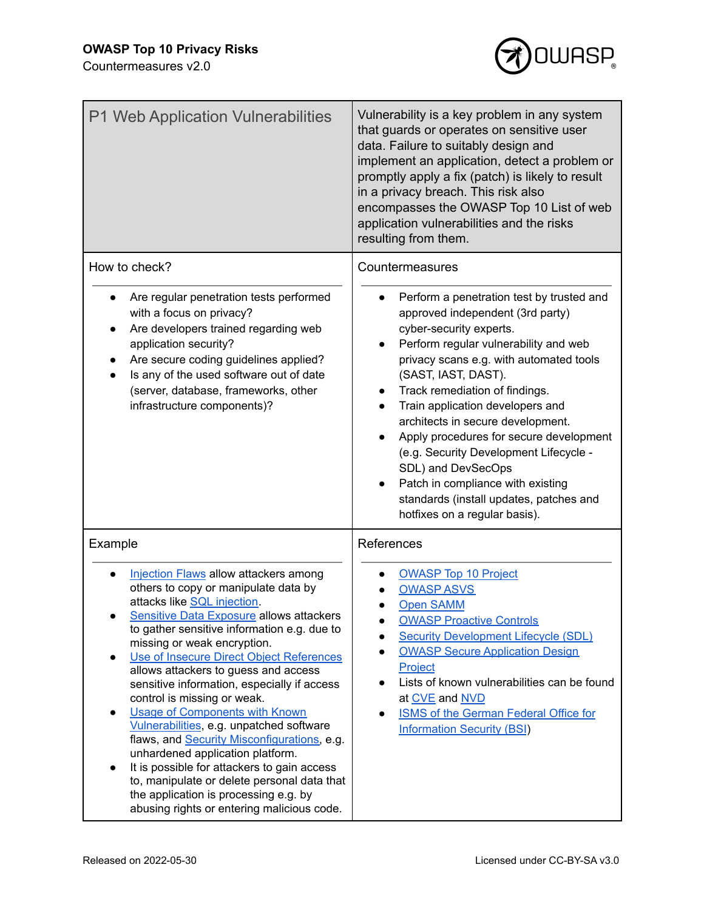

| P1 Web Application Vulnerabilities                                                                                                                                                                                                                                                                                                                                                                                                                                                                                                                                                                                                                                                                                                                                                                                       | Vulnerability is a key problem in any system<br>that guards or operates on sensitive user<br>data. Failure to suitably design and<br>implement an application, detect a problem or<br>promptly apply a fix (patch) is likely to result<br>in a privacy breach. This risk also<br>encompasses the OWASP Top 10 List of web<br>application vulnerabilities and the risks<br>resulting from them.                                                                                                                                                                                |
|--------------------------------------------------------------------------------------------------------------------------------------------------------------------------------------------------------------------------------------------------------------------------------------------------------------------------------------------------------------------------------------------------------------------------------------------------------------------------------------------------------------------------------------------------------------------------------------------------------------------------------------------------------------------------------------------------------------------------------------------------------------------------------------------------------------------------|-------------------------------------------------------------------------------------------------------------------------------------------------------------------------------------------------------------------------------------------------------------------------------------------------------------------------------------------------------------------------------------------------------------------------------------------------------------------------------------------------------------------------------------------------------------------------------|
| How to check?<br>Are regular penetration tests performed<br>with a focus on privacy?<br>Are developers trained regarding web<br>application security?<br>Are secure coding guidelines applied?<br>Is any of the used software out of date<br>(server, database, frameworks, other<br>infrastructure components)?                                                                                                                                                                                                                                                                                                                                                                                                                                                                                                         | Countermeasures<br>Perform a penetration test by trusted and<br>approved independent (3rd party)<br>cyber-security experts.<br>Perform regular vulnerability and web<br>privacy scans e.g. with automated tools<br>(SAST, IAST, DAST).<br>Track remediation of findings.<br>Train application developers and<br>architects in secure development.<br>Apply procedures for secure development<br>(e.g. Security Development Lifecycle -<br>SDL) and DevSecOps<br>Patch in compliance with existing<br>standards (install updates, patches and<br>hotfixes on a regular basis). |
| Example<br><b>Injection Flaws allow attackers among</b><br>others to copy or manipulate data by<br>attacks like SQL injection.<br><b>Sensitive Data Exposure allows attackers</b><br>to gather sensitive information e.g. due to<br>missing or weak encryption.<br>Use of Insecure Direct Object References<br>$\bullet$<br>allows attackers to guess and access<br>sensitive information, especially if access<br>control is missing or weak.<br><b>Usage of Components with Known</b><br>$\bullet$<br>Vulnerabilities, e.g. unpatched software<br>flaws, and Security Misconfigurations, e.g.<br>unhardened application platform.<br>It is possible for attackers to gain access<br>to, manipulate or delete personal data that<br>the application is processing e.g. by<br>abusing rights or entering malicious code. | References<br><b>OWASP Top 10 Project</b><br><b>OWASP ASVS</b><br><b>Open SAMM</b><br><b>OWASP Proactive Controls</b><br><b>Security Development Lifecycle (SDL)</b><br><b>OWASP Secure Application Design</b><br>Project<br>Lists of known vulnerabilities can be found<br>$\bullet$<br>at CVE and NVD<br><b>ISMS of the German Federal Office for</b><br><b>Information Security (BSI)</b>                                                                                                                                                                                  |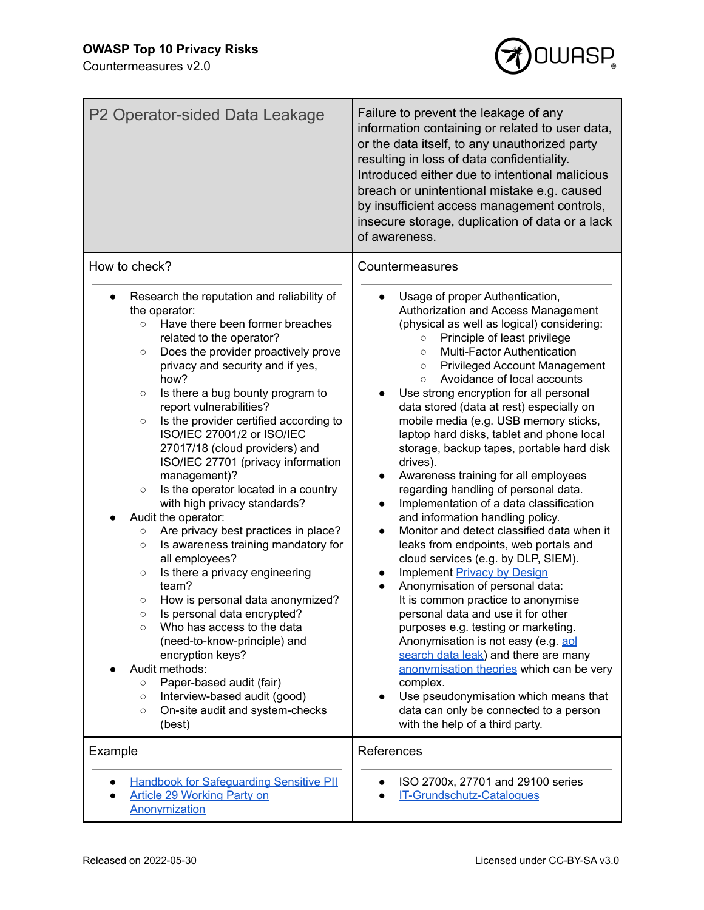

| P2 Operator-sided Data Leakage                                                                                                                                                                                                                                                                                                                                                                                                                                                                                                                                                                                                                                                                                                                                                                                                                                                                                                                                                                                                                                                                                                          | Failure to prevent the leakage of any<br>information containing or related to user data,<br>or the data itself, to any unauthorized party<br>resulting in loss of data confidentiality.<br>Introduced either due to intentional malicious<br>breach or unintentional mistake e.g. caused<br>by insufficient access management controls,<br>insecure storage, duplication of data or a lack<br>of awareness.                                                                                                                                                                                                                                                                                                                                                                                                                                                                                                                                                                                                                                                                                                                                                                                                                                                                                                                       |
|-----------------------------------------------------------------------------------------------------------------------------------------------------------------------------------------------------------------------------------------------------------------------------------------------------------------------------------------------------------------------------------------------------------------------------------------------------------------------------------------------------------------------------------------------------------------------------------------------------------------------------------------------------------------------------------------------------------------------------------------------------------------------------------------------------------------------------------------------------------------------------------------------------------------------------------------------------------------------------------------------------------------------------------------------------------------------------------------------------------------------------------------|-----------------------------------------------------------------------------------------------------------------------------------------------------------------------------------------------------------------------------------------------------------------------------------------------------------------------------------------------------------------------------------------------------------------------------------------------------------------------------------------------------------------------------------------------------------------------------------------------------------------------------------------------------------------------------------------------------------------------------------------------------------------------------------------------------------------------------------------------------------------------------------------------------------------------------------------------------------------------------------------------------------------------------------------------------------------------------------------------------------------------------------------------------------------------------------------------------------------------------------------------------------------------------------------------------------------------------------|
| How to check?<br>Research the reputation and reliability of<br>the operator:<br>Have there been former breaches<br>$\circ$<br>related to the operator?<br>Does the provider proactively prove<br>$\circ$<br>privacy and security and if yes,<br>how?<br>Is there a bug bounty program to<br>$\circ$<br>report vulnerabilities?<br>Is the provider certified according to<br>$\circ$<br>ISO/IEC 27001/2 or ISO/IEC<br>27017/18 (cloud providers) and<br>ISO/IEC 27701 (privacy information<br>management)?<br>Is the operator located in a country<br>$\circ$<br>with high privacy standards?<br>Audit the operator:<br>Are privacy best practices in place?<br>$\circ$<br>Is awareness training mandatory for<br>$\circ$<br>all employees?<br>Is there a privacy engineering<br>$\circ$<br>team?<br>How is personal data anonymized?<br>$\circ$<br>Is personal data encrypted?<br>Who has access to the data<br>$\circ$<br>(need-to-know-principle) and<br>encryption keys?<br>Audit methods:<br>Paper-based audit (fair)<br>$\circ$<br>Interview-based audit (good)<br>$\circ$<br>On-site audit and system-checks<br>$\circ$<br>(best) | Countermeasures<br>Usage of proper Authentication,<br>Authorization and Access Management<br>(physical as well as logical) considering:<br>Principle of least privilege<br>$\circ$<br>Multi-Factor Authentication<br>$\circ$<br><b>Privileged Account Management</b><br>$\circ$<br>Avoidance of local accounts<br>$\circ$<br>Use strong encryption for all personal<br>data stored (data at rest) especially on<br>mobile media (e.g. USB memory sticks,<br>laptop hard disks, tablet and phone local<br>storage, backup tapes, portable hard disk<br>drives).<br>Awareness training for all employees<br>regarding handling of personal data.<br>Implementation of a data classification<br>and information handling policy.<br>Monitor and detect classified data when it<br>$\bullet$<br>leaks from endpoints, web portals and<br>cloud services (e.g. by DLP, SIEM).<br><b>Implement Privacy by Design</b><br>Anonymisation of personal data:<br>It is common practice to anonymise<br>personal data and use it for other<br>purposes e.g. testing or marketing.<br>Anonymisation is not easy (e.g. aol<br>search data leak) and there are many<br>anonymisation theories which can be very<br>complex.<br>Use pseudonymisation which means that<br>data can only be connected to a person<br>with the help of a third party. |
| Example<br><b>Handbook for Safeguarding Sensitive PII</b><br><b>Article 29 Working Party on</b><br>Anonymization                                                                                                                                                                                                                                                                                                                                                                                                                                                                                                                                                                                                                                                                                                                                                                                                                                                                                                                                                                                                                        | References<br>ISO 2700x, 27701 and 29100 series<br>IT-Grundschutz-Catalogues                                                                                                                                                                                                                                                                                                                                                                                                                                                                                                                                                                                                                                                                                                                                                                                                                                                                                                                                                                                                                                                                                                                                                                                                                                                      |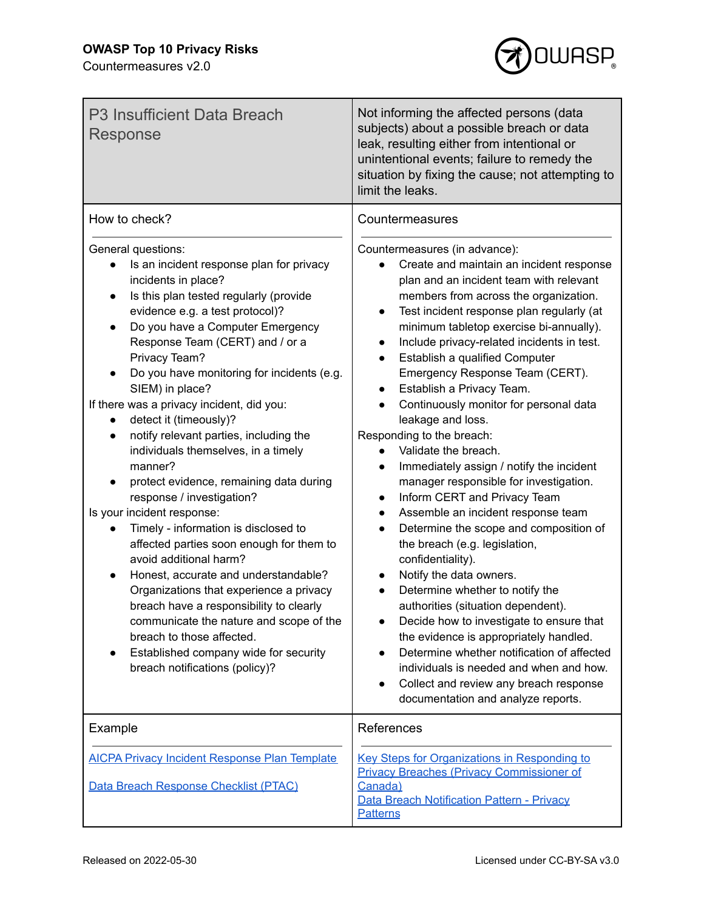

| P3 Insufficient Data Breach<br>Response                                                                                                                                                                                                                                                                                                                                                                                                                                                                                                                                                                                                                                                                                                                                                                                                                                                                                                                                                                                                    | Not informing the affected persons (data<br>subjects) about a possible breach or data<br>leak, resulting either from intentional or<br>unintentional events; failure to remedy the<br>situation by fixing the cause; not attempting to<br>limit the leaks.                                                                                                                                                                                                                                                                                                                                                                                                                                                                                                                                                                                                                                                                                                                                                                                                                                                                                                                                                   |
|--------------------------------------------------------------------------------------------------------------------------------------------------------------------------------------------------------------------------------------------------------------------------------------------------------------------------------------------------------------------------------------------------------------------------------------------------------------------------------------------------------------------------------------------------------------------------------------------------------------------------------------------------------------------------------------------------------------------------------------------------------------------------------------------------------------------------------------------------------------------------------------------------------------------------------------------------------------------------------------------------------------------------------------------|--------------------------------------------------------------------------------------------------------------------------------------------------------------------------------------------------------------------------------------------------------------------------------------------------------------------------------------------------------------------------------------------------------------------------------------------------------------------------------------------------------------------------------------------------------------------------------------------------------------------------------------------------------------------------------------------------------------------------------------------------------------------------------------------------------------------------------------------------------------------------------------------------------------------------------------------------------------------------------------------------------------------------------------------------------------------------------------------------------------------------------------------------------------------------------------------------------------|
| How to check?                                                                                                                                                                                                                                                                                                                                                                                                                                                                                                                                                                                                                                                                                                                                                                                                                                                                                                                                                                                                                              | Countermeasures                                                                                                                                                                                                                                                                                                                                                                                                                                                                                                                                                                                                                                                                                                                                                                                                                                                                                                                                                                                                                                                                                                                                                                                              |
| General questions:<br>Is an incident response plan for privacy<br>incidents in place?<br>Is this plan tested regularly (provide<br>$\bullet$<br>evidence e.g. a test protocol)?<br>Do you have a Computer Emergency<br>$\bullet$<br>Response Team (CERT) and / or a<br>Privacy Team?<br>Do you have monitoring for incidents (e.g.<br>SIEM) in place?<br>If there was a privacy incident, did you:<br>detect it (timeously)?<br>notify relevant parties, including the<br>$\bullet$<br>individuals themselves, in a timely<br>manner?<br>protect evidence, remaining data during<br>response / investigation?<br>Is your incident response:<br>Timely - information is disclosed to<br>affected parties soon enough for them to<br>avoid additional harm?<br>Honest, accurate and understandable?<br>Organizations that experience a privacy<br>breach have a responsibility to clearly<br>communicate the nature and scope of the<br>breach to those affected.<br>Established company wide for security<br>breach notifications (policy)? | Countermeasures (in advance):<br>Create and maintain an incident response<br>plan and an incident team with relevant<br>members from across the organization.<br>Test incident response plan regularly (at<br>$\bullet$<br>minimum tabletop exercise bi-annually).<br>Include privacy-related incidents in test.<br>$\bullet$<br>Establish a qualified Computer<br>Emergency Response Team (CERT).<br>Establish a Privacy Team.<br>Continuously monitor for personal data<br>leakage and loss.<br>Responding to the breach:<br>Validate the breach.<br>Immediately assign / notify the incident<br>manager responsible for investigation.<br>Inform CERT and Privacy Team<br>$\bullet$<br>Assemble an incident response team<br>$\bullet$<br>Determine the scope and composition of<br>the breach (e.g. legislation,<br>confidentiality).<br>Notify the data owners.<br>Determine whether to notify the<br>authorities (situation dependent).<br>Decide how to investigate to ensure that<br>the evidence is appropriately handled.<br>Determine whether notification of affected<br>individuals is needed and when and how.<br>Collect and review any breach response<br>documentation and analyze reports. |
| Example                                                                                                                                                                                                                                                                                                                                                                                                                                                                                                                                                                                                                                                                                                                                                                                                                                                                                                                                                                                                                                    | References                                                                                                                                                                                                                                                                                                                                                                                                                                                                                                                                                                                                                                                                                                                                                                                                                                                                                                                                                                                                                                                                                                                                                                                                   |
| <b>AICPA Privacy Incident Response Plan Template</b><br>Data Breach Response Checklist (PTAC)                                                                                                                                                                                                                                                                                                                                                                                                                                                                                                                                                                                                                                                                                                                                                                                                                                                                                                                                              | <b>Key Steps for Organizations in Responding to</b><br><b>Privacy Breaches (Privacy Commissioner of</b><br>Canada)<br><b>Data Breach Notification Pattern - Privacy</b><br><b>Patterns</b>                                                                                                                                                                                                                                                                                                                                                                                                                                                                                                                                                                                                                                                                                                                                                                                                                                                                                                                                                                                                                   |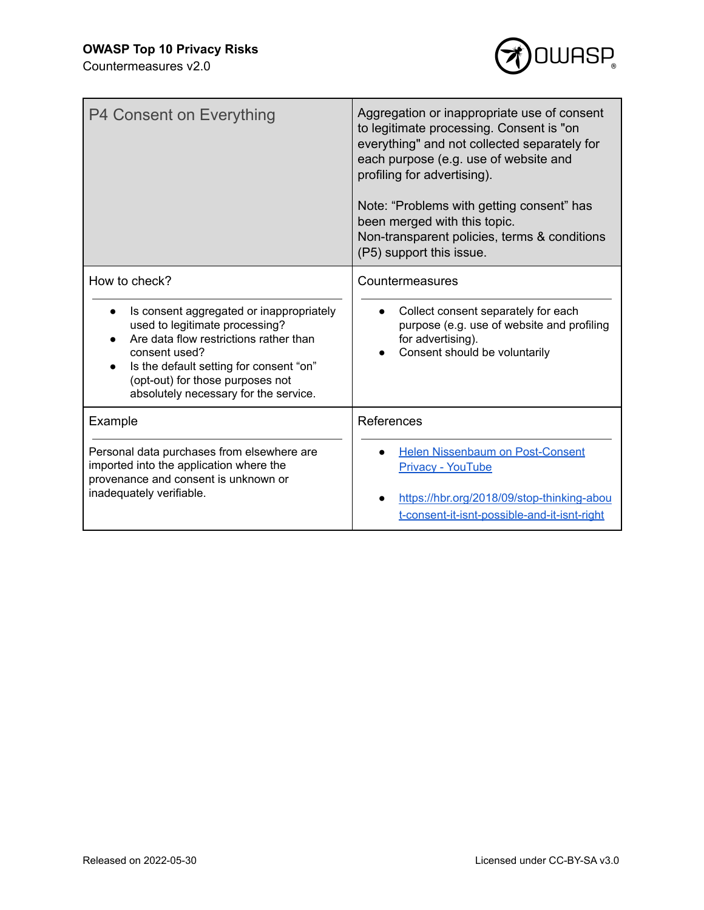

| P4 Consent on Everything                                                                                                                                                                                                                                                                    | Aggregation or inappropriate use of consent<br>to legitimate processing. Consent is "on<br>everything" and not collected separately for<br>each purpose (e.g. use of website and<br>profiling for advertising).<br>Note: "Problems with getting consent" has<br>been merged with this topic.<br>Non-transparent policies, terms & conditions<br>(P5) support this issue. |
|---------------------------------------------------------------------------------------------------------------------------------------------------------------------------------------------------------------------------------------------------------------------------------------------|--------------------------------------------------------------------------------------------------------------------------------------------------------------------------------------------------------------------------------------------------------------------------------------------------------------------------------------------------------------------------|
| How to check?<br>Is consent aggregated or inappropriately<br>$\bullet$<br>used to legitimate processing?<br>Are data flow restrictions rather than<br>consent used?<br>Is the default setting for consent "on"<br>(opt-out) for those purposes not<br>absolutely necessary for the service. | Countermeasures<br>Collect consent separately for each<br>purpose (e.g. use of website and profiling<br>for advertising).<br>Consent should be voluntarily                                                                                                                                                                                                               |
| Example                                                                                                                                                                                                                                                                                     | References                                                                                                                                                                                                                                                                                                                                                               |
| Personal data purchases from elsewhere are<br>imported into the application where the<br>provenance and consent is unknown or<br>inadequately verifiable.                                                                                                                                   | <b>Helen Nissenbaum on Post-Consent</b><br><b>Privacy - YouTube</b><br>https://hbr.org/2018/09/stop-thinking-abou<br>t-consent-it-isnt-possible-and-it-isnt-right                                                                                                                                                                                                        |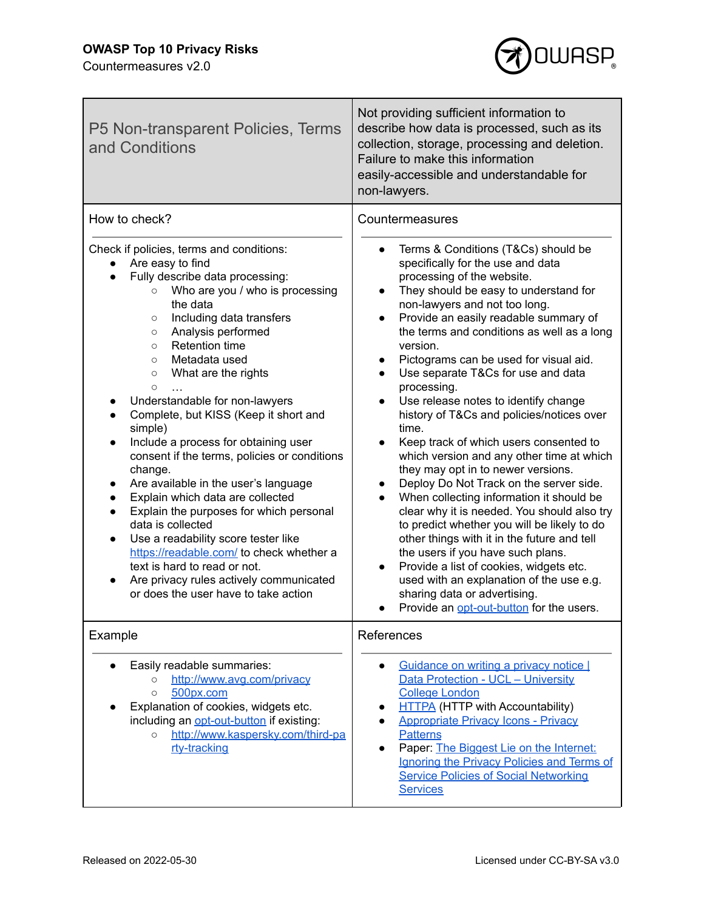## **OWASP Top 10 Privacy Risks**



| P5 Non-transparent Policies, Terms<br>and Conditions                                                                                                                                                                                                                                                                                                                                                                                                                                                                                                                                                                                                                                                                                                                                                                                                                                                                             | Not providing sufficient information to<br>describe how data is processed, such as its<br>collection, storage, processing and deletion.<br>Failure to make this information<br>easily-accessible and understandable for<br>non-lawyers.                                                                                                                                                                                                                                                                                                                                                                                                                                                                                                                                                                                                                                                                                                                                                                                                                                                                                                              |
|----------------------------------------------------------------------------------------------------------------------------------------------------------------------------------------------------------------------------------------------------------------------------------------------------------------------------------------------------------------------------------------------------------------------------------------------------------------------------------------------------------------------------------------------------------------------------------------------------------------------------------------------------------------------------------------------------------------------------------------------------------------------------------------------------------------------------------------------------------------------------------------------------------------------------------|------------------------------------------------------------------------------------------------------------------------------------------------------------------------------------------------------------------------------------------------------------------------------------------------------------------------------------------------------------------------------------------------------------------------------------------------------------------------------------------------------------------------------------------------------------------------------------------------------------------------------------------------------------------------------------------------------------------------------------------------------------------------------------------------------------------------------------------------------------------------------------------------------------------------------------------------------------------------------------------------------------------------------------------------------------------------------------------------------------------------------------------------------|
| How to check?                                                                                                                                                                                                                                                                                                                                                                                                                                                                                                                                                                                                                                                                                                                                                                                                                                                                                                                    | Countermeasures                                                                                                                                                                                                                                                                                                                                                                                                                                                                                                                                                                                                                                                                                                                                                                                                                                                                                                                                                                                                                                                                                                                                      |
| Check if policies, terms and conditions:<br>Are easy to find<br>Fully describe data processing:<br>Who are you / who is processing<br>$\circ$<br>the data<br>Including data transfers<br>$\circ$<br>Analysis performed<br>$\circ$<br><b>Retention time</b><br>$\circ$<br>Metadata used<br>$\circ$<br>What are the rights<br>$\circ$<br>$\circ$<br>Understandable for non-lawyers<br>Complete, but KISS (Keep it short and<br>simple)<br>Include a process for obtaining user<br>$\bullet$<br>consent if the terms, policies or conditions<br>change.<br>Are available in the user's language<br>Explain which data are collected<br>$\bullet$<br>Explain the purposes for which personal<br>data is collected<br>Use a readability score tester like<br>$\bullet$<br>https://readable.com/ to check whether a<br>text is hard to read or not.<br>Are privacy rules actively communicated<br>or does the user have to take action | Terms & Conditions (T&Cs) should be<br>specifically for the use and data<br>processing of the website.<br>They should be easy to understand for<br>$\bullet$<br>non-lawyers and not too long.<br>Provide an easily readable summary of<br>$\bullet$<br>the terms and conditions as well as a long<br>version.<br>Pictograms can be used for visual aid.<br>$\bullet$<br>Use separate T&Cs for use and data<br>processing.<br>Use release notes to identify change<br>$\bullet$<br>history of T&Cs and policies/notices over<br>time.<br>Keep track of which users consented to<br>$\bullet$<br>which version and any other time at which<br>they may opt in to newer versions.<br>Deploy Do Not Track on the server side.<br>$\bullet$<br>When collecting information it should be<br>clear why it is needed. You should also try<br>to predict whether you will be likely to do<br>other things with it in the future and tell<br>the users if you have such plans.<br>Provide a list of cookies, widgets etc.<br>$\bullet$<br>used with an explanation of the use e.g.<br>sharing data or advertising.<br>Provide an opt-out-button for the users. |
| Example                                                                                                                                                                                                                                                                                                                                                                                                                                                                                                                                                                                                                                                                                                                                                                                                                                                                                                                          | References                                                                                                                                                                                                                                                                                                                                                                                                                                                                                                                                                                                                                                                                                                                                                                                                                                                                                                                                                                                                                                                                                                                                           |
| Easily readable summaries:<br>http://www.avg.com/privacy<br>$\circ$<br>500px.com<br>$\circ$<br>Explanation of cookies, widgets etc.<br>including an opt-out-button if existing:<br>http://www.kaspersky.com/third-pa<br>$\circ$<br>rty-tracking                                                                                                                                                                                                                                                                                                                                                                                                                                                                                                                                                                                                                                                                                  | Guidance on writing a privacy notice I<br>$\bullet$<br>Data Protection - UCL - University<br><b>College London</b><br><b>HTTPA</b> (HTTP with Accountability)<br><b>Appropriate Privacy Icons - Privacy</b><br><b>Patterns</b><br>Paper: The Biggest Lie on the Internet:<br>$\bullet$<br>Ignoring the Privacy Policies and Terms of<br><b>Service Policies of Social Networking</b><br><b>Services</b>                                                                                                                                                                                                                                                                                                                                                                                                                                                                                                                                                                                                                                                                                                                                              |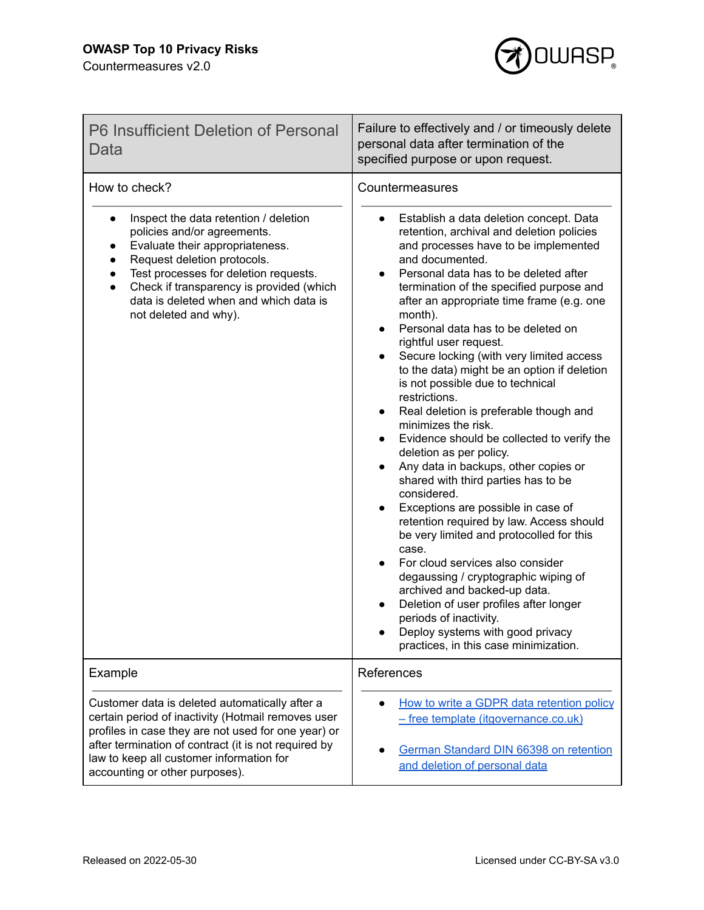

| P6 Insufficient Deletion of Personal<br>Data                                                                                                                                                                                                                                                                                              | Failure to effectively and / or timeously delete<br>personal data after termination of the<br>specified purpose or upon request.                                                                                                                                                                                                                                                                                                                                                                                                                                                                                                                                                                                                                                                                                                                                                                                                                                                                                                                                                                                                                                                                                                                                                                 |
|-------------------------------------------------------------------------------------------------------------------------------------------------------------------------------------------------------------------------------------------------------------------------------------------------------------------------------------------|--------------------------------------------------------------------------------------------------------------------------------------------------------------------------------------------------------------------------------------------------------------------------------------------------------------------------------------------------------------------------------------------------------------------------------------------------------------------------------------------------------------------------------------------------------------------------------------------------------------------------------------------------------------------------------------------------------------------------------------------------------------------------------------------------------------------------------------------------------------------------------------------------------------------------------------------------------------------------------------------------------------------------------------------------------------------------------------------------------------------------------------------------------------------------------------------------------------------------------------------------------------------------------------------------|
| How to check?<br>Inspect the data retention / deletion<br>$\bullet$<br>policies and/or agreements.<br>Evaluate their appropriateness.<br>Request deletion protocols.<br>Test processes for deletion requests.<br>Check if transparency is provided (which<br>$\bullet$<br>data is deleted when and which data is<br>not deleted and why). | Countermeasures<br>Establish a data deletion concept. Data<br>$\bullet$<br>retention, archival and deletion policies<br>and processes have to be implemented<br>and documented.<br>Personal data has to be deleted after<br>$\bullet$<br>termination of the specified purpose and<br>after an appropriate time frame (e.g. one<br>month).<br>Personal data has to be deleted on<br>$\bullet$<br>rightful user request.<br>Secure locking (with very limited access<br>$\bullet$<br>to the data) might be an option if deletion<br>is not possible due to technical<br>restrictions.<br>Real deletion is preferable though and<br>$\bullet$<br>minimizes the risk.<br>Evidence should be collected to verify the<br>$\bullet$<br>deletion as per policy.<br>Any data in backups, other copies or<br>$\bullet$<br>shared with third parties has to be<br>considered.<br>Exceptions are possible in case of<br>$\bullet$<br>retention required by law. Access should<br>be very limited and protocolled for this<br>case.<br>For cloud services also consider<br>$\bullet$<br>degaussing / cryptographic wiping of<br>archived and backed-up data.<br>Deletion of user profiles after longer<br>periods of inactivity.<br>Deploy systems with good privacy<br>practices, in this case minimization. |
| Example                                                                                                                                                                                                                                                                                                                                   | References                                                                                                                                                                                                                                                                                                                                                                                                                                                                                                                                                                                                                                                                                                                                                                                                                                                                                                                                                                                                                                                                                                                                                                                                                                                                                       |
| Customer data is deleted automatically after a<br>certain period of inactivity (Hotmail removes user<br>profiles in case they are not used for one year) or<br>after termination of contract (it is not required by<br>law to keep all customer information for<br>accounting or other purposes).                                         | How to write a GDPR data retention policy<br>- free template (itgovernance.co.uk)<br>German Standard DIN 66398 on retention<br>$\bullet$<br>and deletion of personal data                                                                                                                                                                                                                                                                                                                                                                                                                                                                                                                                                                                                                                                                                                                                                                                                                                                                                                                                                                                                                                                                                                                        |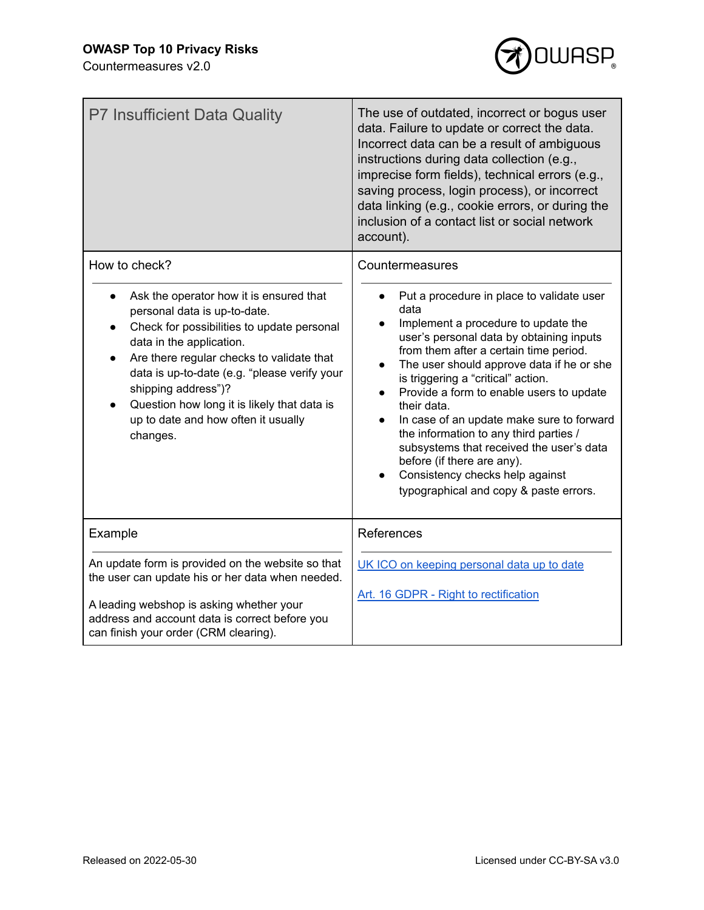

| <b>P7 Insufficient Data Quality</b>                                                                                                                                                                                                                                                                                                                                                                   | The use of outdated, incorrect or bogus user<br>data. Failure to update or correct the data.<br>Incorrect data can be a result of ambiguous<br>instructions during data collection (e.g.,<br>imprecise form fields), technical errors (e.g.,<br>saving process, login process), or incorrect<br>data linking (e.g., cookie errors, or during the<br>inclusion of a contact list or social network<br>account).                                                                                                                                                                                                                       |
|-------------------------------------------------------------------------------------------------------------------------------------------------------------------------------------------------------------------------------------------------------------------------------------------------------------------------------------------------------------------------------------------------------|--------------------------------------------------------------------------------------------------------------------------------------------------------------------------------------------------------------------------------------------------------------------------------------------------------------------------------------------------------------------------------------------------------------------------------------------------------------------------------------------------------------------------------------------------------------------------------------------------------------------------------------|
| How to check?<br>Ask the operator how it is ensured that<br>personal data is up-to-date.<br>Check for possibilities to update personal<br>data in the application.<br>Are there regular checks to validate that<br>data is up-to-date (e.g. "please verify your<br>shipping address")?<br>Question how long it is likely that data is<br>$\bullet$<br>up to date and how often it usually<br>changes. | Countermeasures<br>Put a procedure in place to validate user<br>data<br>Implement a procedure to update the<br>$\bullet$<br>user's personal data by obtaining inputs<br>from them after a certain time period.<br>The user should approve data if he or she<br>$\bullet$<br>is triggering a "critical" action.<br>Provide a form to enable users to update<br>$\bullet$<br>their data.<br>In case of an update make sure to forward<br>the information to any third parties /<br>subsystems that received the user's data<br>before (if there are any).<br>Consistency checks help against<br>typographical and copy & paste errors. |
| Example                                                                                                                                                                                                                                                                                                                                                                                               | References                                                                                                                                                                                                                                                                                                                                                                                                                                                                                                                                                                                                                           |
| An update form is provided on the website so that<br>the user can update his or her data when needed.<br>A leading webshop is asking whether your<br>address and account data is correct before you<br>can finish your order (CRM clearing).                                                                                                                                                          | UK ICO on keeping personal data up to date<br>Art. 16 GDPR - Right to rectification                                                                                                                                                                                                                                                                                                                                                                                                                                                                                                                                                  |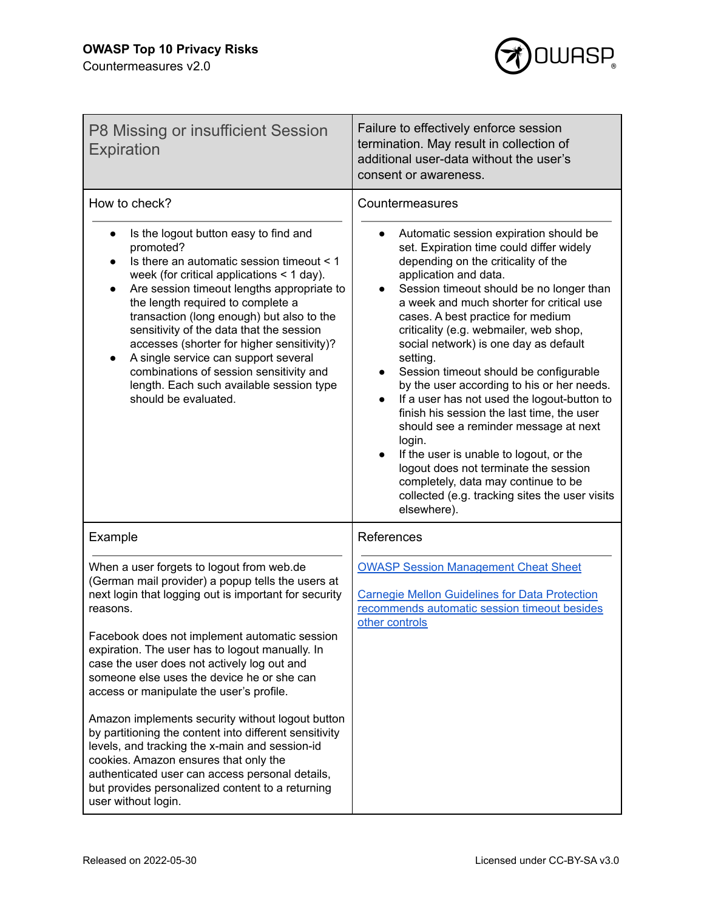

| P8 Missing or insufficient Session<br><b>Expiration</b>                                                                                                                                                                                                                                                                                                                                                                                                                                                                                                                                                                                                                      | Failure to effectively enforce session<br>termination. May result in collection of<br>additional user-data without the user's<br>consent or awareness.                                                                                                                                                                                                                                                                                                                                                                                                                                                                                                                                                                                                                                                             |
|------------------------------------------------------------------------------------------------------------------------------------------------------------------------------------------------------------------------------------------------------------------------------------------------------------------------------------------------------------------------------------------------------------------------------------------------------------------------------------------------------------------------------------------------------------------------------------------------------------------------------------------------------------------------------|--------------------------------------------------------------------------------------------------------------------------------------------------------------------------------------------------------------------------------------------------------------------------------------------------------------------------------------------------------------------------------------------------------------------------------------------------------------------------------------------------------------------------------------------------------------------------------------------------------------------------------------------------------------------------------------------------------------------------------------------------------------------------------------------------------------------|
| How to check?                                                                                                                                                                                                                                                                                                                                                                                                                                                                                                                                                                                                                                                                | Countermeasures                                                                                                                                                                                                                                                                                                                                                                                                                                                                                                                                                                                                                                                                                                                                                                                                    |
| Is the logout button easy to find and<br>promoted?<br>Is there an automatic session timeout < 1<br>week (for critical applications $<$ 1 day).<br>Are session timeout lengths appropriate to<br>the length required to complete a<br>transaction (long enough) but also to the<br>sensitivity of the data that the session<br>accesses (shorter for higher sensitivity)?<br>A single service can support several<br>combinations of session sensitivity and<br>length. Each such available session type<br>should be evaluated.                                                                                                                                              | Automatic session expiration should be<br>set. Expiration time could differ widely<br>depending on the criticality of the<br>application and data.<br>Session timeout should be no longer than<br>a week and much shorter for critical use<br>cases. A best practice for medium<br>criticality (e.g. webmailer, web shop,<br>social network) is one day as default<br>setting.<br>Session timeout should be configurable<br>by the user according to his or her needs.<br>If a user has not used the logout-button to<br>finish his session the last time, the user<br>should see a reminder message at next<br>login.<br>If the user is unable to logout, or the<br>logout does not terminate the session<br>completely, data may continue to be<br>collected (e.g. tracking sites the user visits<br>elsewhere). |
| Example                                                                                                                                                                                                                                                                                                                                                                                                                                                                                                                                                                                                                                                                      | References                                                                                                                                                                                                                                                                                                                                                                                                                                                                                                                                                                                                                                                                                                                                                                                                         |
| When a user forgets to logout from web.de<br>(German mail provider) a popup tells the users at<br>next login that logging out is important for security<br>reasons.<br>Facebook does not implement automatic session<br>expiration. The user has to logout manually. In<br>case the user does not actively log out and<br>someone else uses the device he or she can<br>access or manipulate the user's profile.<br>Amazon implements security without logout button<br>by partitioning the content into different sensitivity<br>levels, and tracking the x-main and session-id<br>cookies. Amazon ensures that only the<br>authenticated user can access personal details, | <b>OWASP Session Management Cheat Sheet</b><br><b>Carnegie Mellon Guidelines for Data Protection</b><br>recommends automatic session timeout besides<br>other controls                                                                                                                                                                                                                                                                                                                                                                                                                                                                                                                                                                                                                                             |
| but provides personalized content to a returning<br>user without login.                                                                                                                                                                                                                                                                                                                                                                                                                                                                                                                                                                                                      |                                                                                                                                                                                                                                                                                                                                                                                                                                                                                                                                                                                                                                                                                                                                                                                                                    |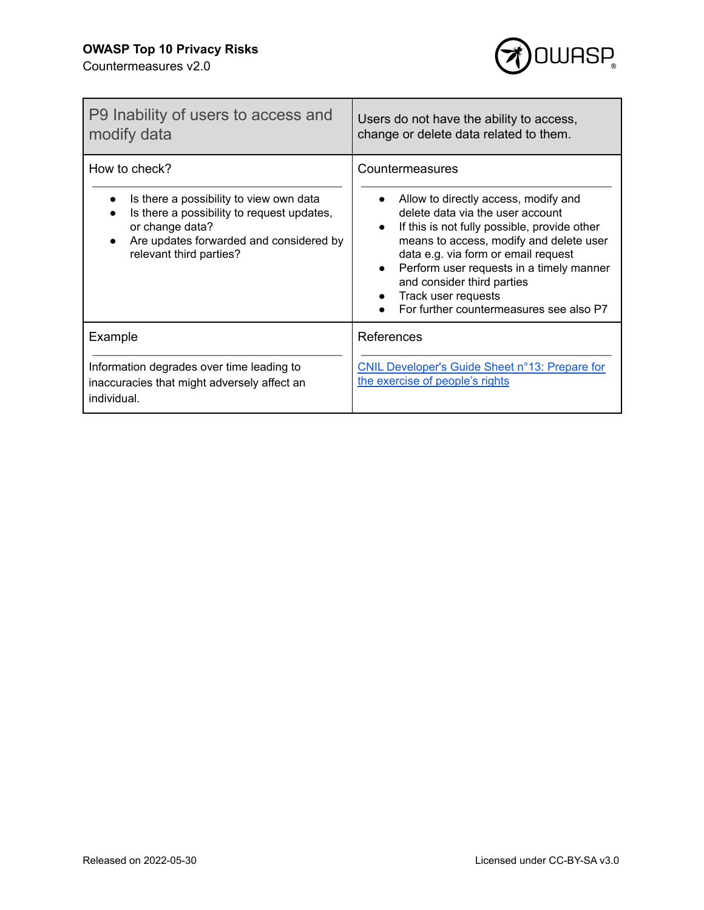Е



ī

| P9 Inability of users to access and<br>modify data                                                                                                                                              | Users do not have the ability to access,<br>change or delete data related to them.                                                                                                                                                                                                                                                                                                                               |
|-------------------------------------------------------------------------------------------------------------------------------------------------------------------------------------------------|------------------------------------------------------------------------------------------------------------------------------------------------------------------------------------------------------------------------------------------------------------------------------------------------------------------------------------------------------------------------------------------------------------------|
| How to check?<br>Is there a possibility to view own data<br>Is there a possibility to request updates,<br>or change data?<br>Are updates forwarded and considered by<br>relevant third parties? | Countermeasures<br>Allow to directly access, modify and<br>delete data via the user account<br>If this is not fully possible, provide other<br>$\bullet$<br>means to access, modify and delete user<br>data e.g. via form or email request<br>Perform user requests in a timely manner<br>$\bullet$<br>and consider third parties<br>Track user requests<br>$\bullet$<br>For further countermeasures see also P7 |
| Example<br>Information degrades over time leading to<br>inaccuracies that might adversely affect an<br>individual.                                                                              | References<br><b>CNIL Developer's Guide Sheet n°13: Prepare for</b><br>the exercise of people's rights                                                                                                                                                                                                                                                                                                           |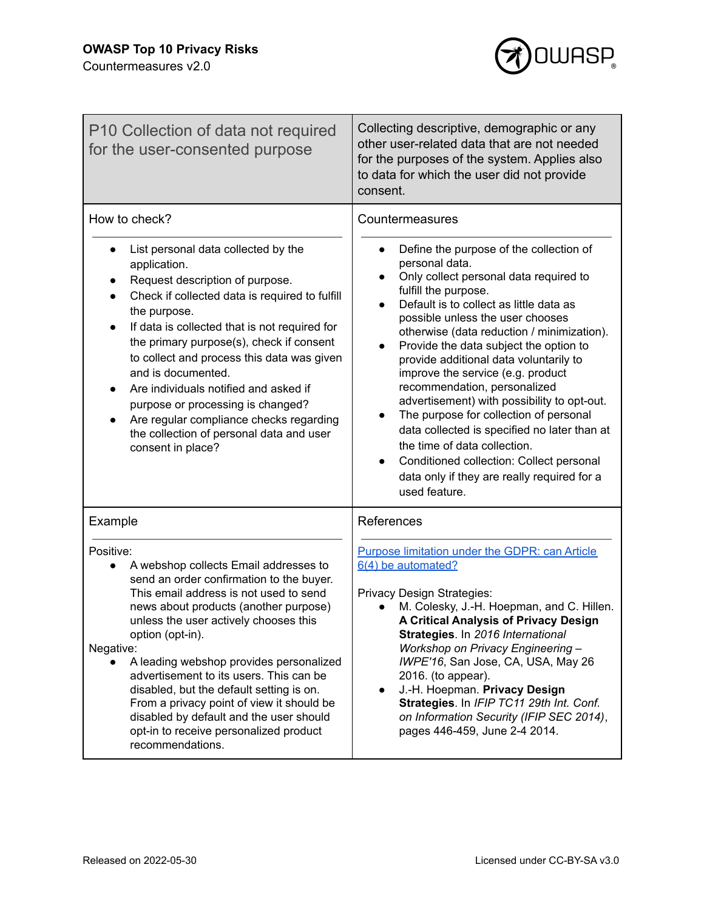

| P10 Collection of data not required<br>for the user-consented purpose                                                                                                                                                                                                                                                                                                                                                                                                                                                                               | Collecting descriptive, demographic or any<br>other user-related data that are not needed<br>for the purposes of the system. Applies also<br>to data for which the user did not provide<br>consent.                                                                                                                                                                                                                                                                                                                                                                                                                                                                                                |
|-----------------------------------------------------------------------------------------------------------------------------------------------------------------------------------------------------------------------------------------------------------------------------------------------------------------------------------------------------------------------------------------------------------------------------------------------------------------------------------------------------------------------------------------------------|----------------------------------------------------------------------------------------------------------------------------------------------------------------------------------------------------------------------------------------------------------------------------------------------------------------------------------------------------------------------------------------------------------------------------------------------------------------------------------------------------------------------------------------------------------------------------------------------------------------------------------------------------------------------------------------------------|
| How to check?<br>List personal data collected by the                                                                                                                                                                                                                                                                                                                                                                                                                                                                                                | Countermeasures<br>Define the purpose of the collection of                                                                                                                                                                                                                                                                                                                                                                                                                                                                                                                                                                                                                                         |
| application.<br>Request description of purpose.<br>Check if collected data is required to fulfill<br>the purpose.<br>If data is collected that is not required for<br>$\bullet$<br>the primary purpose(s), check if consent<br>to collect and process this data was given<br>and is documented.<br>Are individuals notified and asked if<br>$\bullet$<br>purpose or processing is changed?<br>Are regular compliance checks regarding<br>the collection of personal data and user<br>consent in place?                                              | personal data.<br>Only collect personal data required to<br>$\bullet$<br>fulfill the purpose.<br>Default is to collect as little data as<br>$\bullet$<br>possible unless the user chooses<br>otherwise (data reduction / minimization).<br>Provide the data subject the option to<br>$\bullet$<br>provide additional data voluntarily to<br>improve the service (e.g. product<br>recommendation, personalized<br>advertisement) with possibility to opt-out.<br>The purpose for collection of personal<br>data collected is specified no later than at<br>the time of data collection.<br>Conditioned collection: Collect personal<br>data only if they are really required for a<br>used feature. |
| Example                                                                                                                                                                                                                                                                                                                                                                                                                                                                                                                                             | References                                                                                                                                                                                                                                                                                                                                                                                                                                                                                                                                                                                                                                                                                         |
| Positive:<br>A webshop collects Email addresses to<br>send an order confirmation to the buyer.<br>This email address is not used to send<br>news about products (another purpose)<br>unless the user actively chooses this<br>option (opt-in).<br>Negative:<br>A leading webshop provides personalized<br>advertisement to its users. This can be<br>disabled, but the default setting is on.<br>From a privacy point of view it should be<br>disabled by default and the user should<br>opt-in to receive personalized product<br>recommendations. | Purpose limitation under the GDPR: can Article<br>6(4) be automated?<br>Privacy Design Strategies:<br>M. Colesky, J.-H. Hoepman, and C. Hillen.<br>A Critical Analysis of Privacy Design<br>Strategies. In 2016 International<br><b>Workshop on Privacy Engineering -</b><br>IWPE'16, San Jose, CA, USA, May 26<br>2016. (to appear).<br>J.-H. Hoepman. Privacy Design<br>$\bullet$<br>Strategies. In IFIP TC11 29th Int. Conf.<br>on Information Security (IFIP SEC 2014),<br>pages 446-459, June 2-4 2014.                                                                                                                                                                                       |